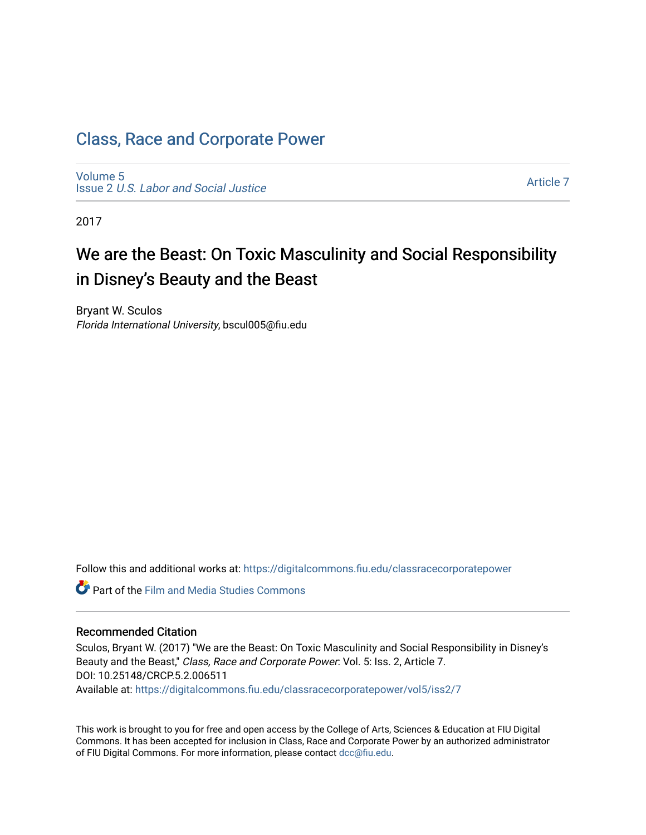# [Class, Race and Corporate Power](https://digitalcommons.fiu.edu/classracecorporatepower)

[Volume 5](https://digitalcommons.fiu.edu/classracecorporatepower/vol5) Issue 2 [U.S. Labor and Social Justice](https://digitalcommons.fiu.edu/classracecorporatepower/vol5/iss2)

[Article 7](https://digitalcommons.fiu.edu/classracecorporatepower/vol5/iss2/7) 

2017

# We are the Beast: On Toxic Masculinity and Social Responsibility in Disney's Beauty and the Beast

Bryant W. Sculos Florida International University, bscul005@fiu.edu

Follow this and additional works at: [https://digitalcommons.fiu.edu/classracecorporatepower](https://digitalcommons.fiu.edu/classracecorporatepower?utm_source=digitalcommons.fiu.edu%2Fclassracecorporatepower%2Fvol5%2Fiss2%2F7&utm_medium=PDF&utm_campaign=PDFCoverPages)

**Part of the Film and Media Studies Commons** 

#### Recommended Citation

Sculos, Bryant W. (2017) "We are the Beast: On Toxic Masculinity and Social Responsibility in Disney's Beauty and the Beast," Class, Race and Corporate Power: Vol. 5: Iss. 2, Article 7. DOI: 10.25148/CRCP.5.2.006511 Available at: [https://digitalcommons.fiu.edu/classracecorporatepower/vol5/iss2/7](https://digitalcommons.fiu.edu/classracecorporatepower/vol5/iss2/7?utm_source=digitalcommons.fiu.edu%2Fclassracecorporatepower%2Fvol5%2Fiss2%2F7&utm_medium=PDF&utm_campaign=PDFCoverPages)

This work is brought to you for free and open access by the College of Arts, Sciences & Education at FIU Digital Commons. It has been accepted for inclusion in Class, Race and Corporate Power by an authorized administrator of FIU Digital Commons. For more information, please contact [dcc@fiu.edu](mailto:dcc@fiu.edu).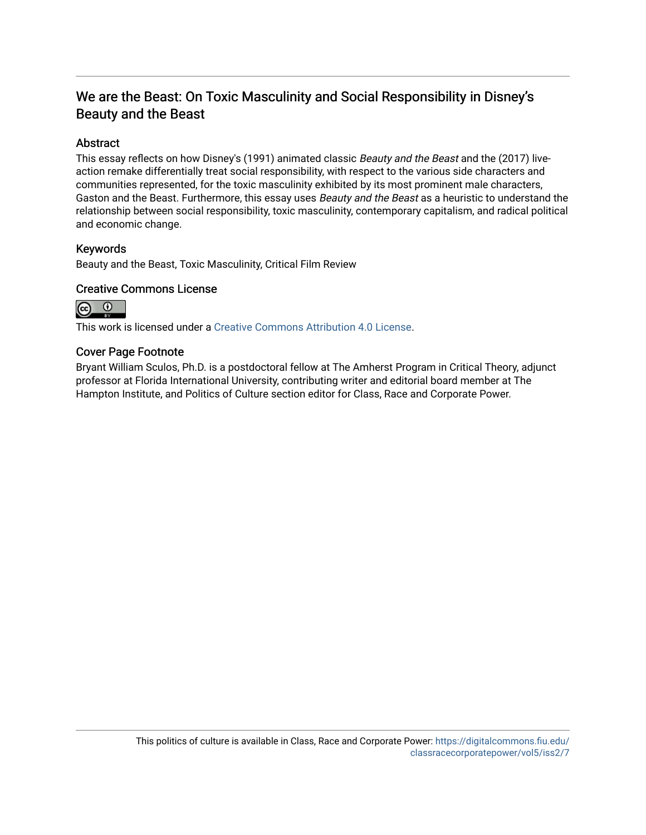# We are the Beast: On Toxic Masculinity and Social Responsibility in Disney's Beauty and the Beast

## Abstract

This essay reflects on how Disney's (1991) animated classic Beauty and the Beast and the (2017) liveaction remake differentially treat social responsibility, with respect to the various side characters and communities represented, for the toxic masculinity exhibited by its most prominent male characters, Gaston and the Beast. Furthermore, this essay uses Beauty and the Beast as a heuristic to understand the relationship between social responsibility, toxic masculinity, contemporary capitalism, and radical political and economic change.

#### Keywords

Beauty and the Beast, Toxic Masculinity, Critical Film Review

#### Creative Commons License



This work is licensed under a [Creative Commons Attribution 4.0 License](http://creativecommons.org/licenses/by/4.0/).

#### Cover Page Footnote

Bryant William Sculos, Ph.D. is a postdoctoral fellow at The Amherst Program in Critical Theory, adjunct professor at Florida International University, contributing writer and editorial board member at The Hampton Institute, and Politics of Culture section editor for Class, Race and Corporate Power.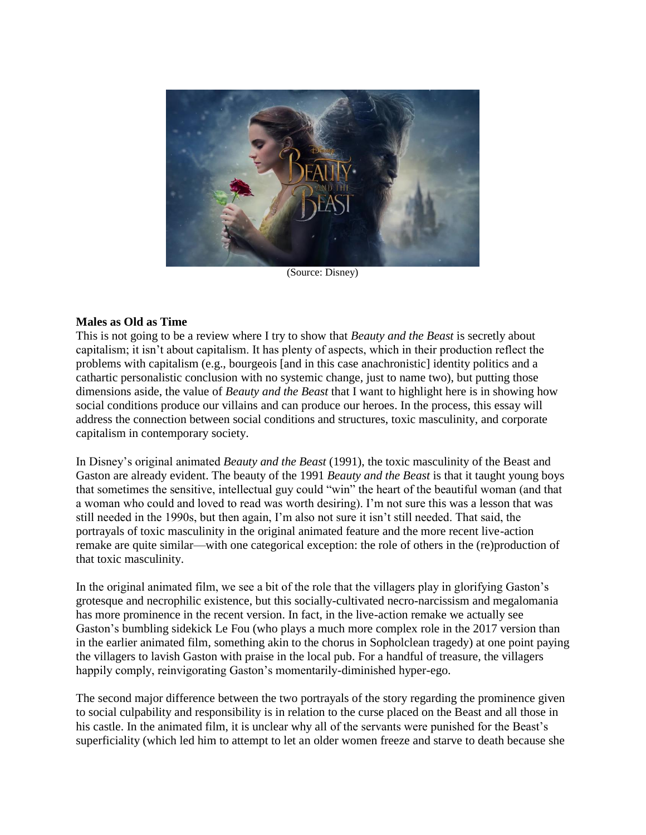

(Source: Disney)

#### **Males as Old as Time**

This is not going to be a review where I try to show that *Beauty and the Beast* is secretly about capitalism; it isn't about capitalism. It has plenty of aspects, which in their production reflect the problems with capitalism (e.g., bourgeois [and in this case anachronistic] identity politics and a cathartic personalistic conclusion with no systemic change, just to name two), but putting those dimensions aside, the value of *Beauty and the Beast* that I want to highlight here is in showing how social conditions produce our villains and can produce our heroes. In the process, this essay will address the connection between social conditions and structures, toxic masculinity, and corporate capitalism in contemporary society.

In Disney's original animated *Beauty and the Beast* (1991), the toxic masculinity of the Beast and Gaston are already evident. The beauty of the 1991 *Beauty and the Beast* is that it taught young boys that sometimes the sensitive, intellectual guy could "win" the heart of the beautiful woman (and that a woman who could and loved to read was worth desiring). I'm not sure this was a lesson that was still needed in the 1990s, but then again, I'm also not sure it isn't still needed. That said, the portrayals of toxic masculinity in the original animated feature and the more recent live-action remake are quite similar—with one categorical exception: the role of others in the (re)production of that toxic masculinity.

In the original animated film, we see a bit of the role that the villagers play in glorifying Gaston's grotesque and necrophilic existence, but this socially-cultivated necro-narcissism and megalomania has more prominence in the recent version. In fact, in the live-action remake we actually see Gaston's bumbling sidekick Le Fou (who plays a much more complex role in the 2017 version than in the earlier animated film, something akin to the chorus in Sopholclean tragedy) at one point paying the villagers to lavish Gaston with praise in the local pub. For a handful of treasure, the villagers happily comply, reinvigorating Gaston's momentarily-diminished hyper-ego.

The second major difference between the two portrayals of the story regarding the prominence given to social culpability and responsibility is in relation to the curse placed on the Beast and all those in his castle. In the animated film, it is unclear why all of the servants were punished for the Beast's superficiality (which led him to attempt to let an older women freeze and starve to death because she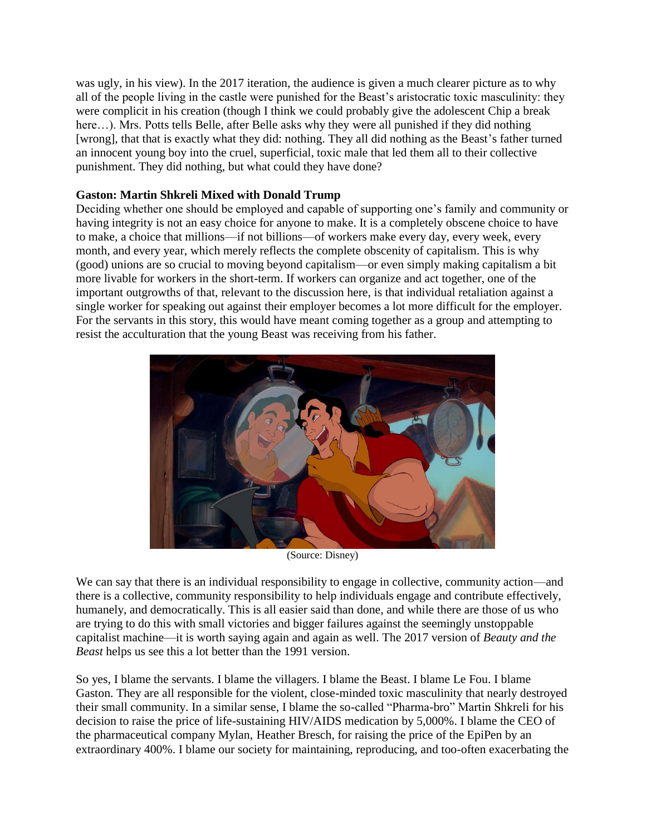was ugly, in his view). In the 2017 iteration, the audience is given a much clearer picture as to why all of the people living in the castle were punished for the Beast's aristocratic toxic masculinity: they were complicit in his creation (though I think we could probably give the adolescent Chip a break here...). Mrs. Potts tells Belle, after Belle asks why they were all punished if they did nothing [wrong], that that is exactly what they did: nothing. They all did nothing as the Beast's father turned an innocent young boy into the cruel, superficial, toxic male that led them all to their collective punishment. They did nothing, but what could they have done?

## **Gaston: Martin Shkreli Mixed with Donald Trump**

Deciding whether one should be employed and capable of supporting one's family and community or having integrity is not an easy choice for anyone to make. It is a completely obscene choice to have to make, a choice that millions—if not billions—of workers make every day, every week, every month, and every year, which merely reflects the complete obscenity of capitalism. This is why (good) unions are so crucial to moving beyond capitalism—or even simply making capitalism a bit more livable for workers in the short-term. If workers can organize and act together, one of the important outgrowths of that, relevant to the discussion here, is that individual retaliation against a single worker for speaking out against their employer becomes a lot more difficult for the employer. For the servants in this story, this would have meant coming together as a group and attempting to resist the acculturation that the young Beast was receiving from his father.



(Source: Disney)

We can say that there is an individual responsibility to engage in collective, community action—and there is a collective, community responsibility to help individuals engage and contribute effectively, humanely, and democratically. This is all easier said than done, and while there are those of us who are trying to do this with small victories and bigger failures against the seemingly unstoppable capitalist machine—it is worth saying again and again as well. The 2017 version of *Beauty and the Beast* helps us see this a lot better than the 1991 version.

So yes, I blame the servants. I blame the villagers. I blame the Beast. I blame Le Fou. I blame Gaston. They are all responsible for the violent, close-minded toxic masculinity that nearly destroyed their small community. In a similar sense, I blame the so-called "Pharma-bro" Martin Shkreli for his decision to raise the price of life-sustaining HIV/AIDS medication by 5,000%. I blame the CEO of the pharmaceutical company Mylan, Heather Bresch, for raising the price of the EpiPen by an extraordinary 400%. I blame our society for maintaining, reproducing, and too-often exacerbating the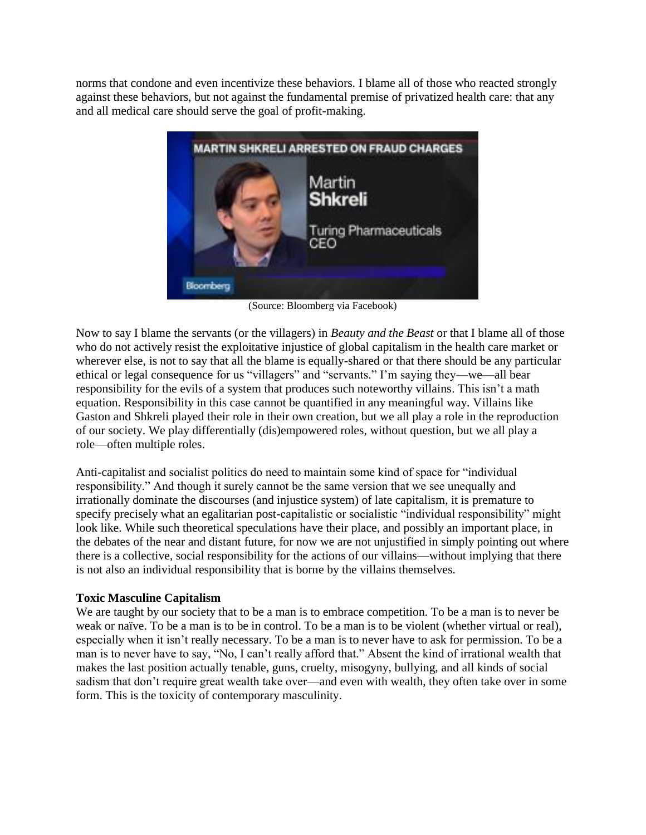norms that condone and even incentivize these behaviors. I blame all of those who reacted strongly against these behaviors, but not against the fundamental premise of privatized health care: that any and all medical care should serve the goal of profit-making.



(Source: Bloomberg via Facebook)

Now to say I blame the servants (or the villagers) in *Beauty and the Beast* or that I blame all of those who do not actively resist the exploitative injustice of global capitalism in the health care market or wherever else, is not to say that all the blame is equally-shared or that there should be any particular ethical or legal consequence for us "villagers" and "servants." I'm saying they—we—all bear responsibility for the evils of a system that produces such noteworthy villains. This isn't a math equation. Responsibility in this case cannot be quantified in any meaningful way. Villains like Gaston and Shkreli played their role in their own creation, but we all play a role in the reproduction of our society. We play differentially (dis)empowered roles, without question, but we all play a role—often multiple roles.

Anti-capitalist and socialist politics do need to maintain some kind of space for "individual responsibility." And though it surely cannot be the same version that we see unequally and irrationally dominate the discourses (and injustice system) of late capitalism, it is premature to specify precisely what an egalitarian post-capitalistic or socialistic "individual responsibility" might look like. While such theoretical speculations have their place, and possibly an important place, in the debates of the near and distant future, for now we are not unjustified in simply pointing out where there is a collective, social responsibility for the actions of our villains—without implying that there is not also an individual responsibility that is borne by the villains themselves.

## **Toxic Masculine Capitalism**

We are taught by our society that to be a man is to embrace competition. To be a man is to never be weak or naïve. To be a man is to be in control. To be a man is to be violent (whether virtual or real), especially when it isn't really necessary. To be a man is to never have to ask for permission. To be a man is to never have to say, "No, I can't really afford that." Absent the kind of irrational wealth that makes the last position actually tenable, guns, cruelty, misogyny, bullying, and all kinds of social sadism that don't require great wealth take over—and even with wealth, they often take over in some form. This is the toxicity of contemporary masculinity.